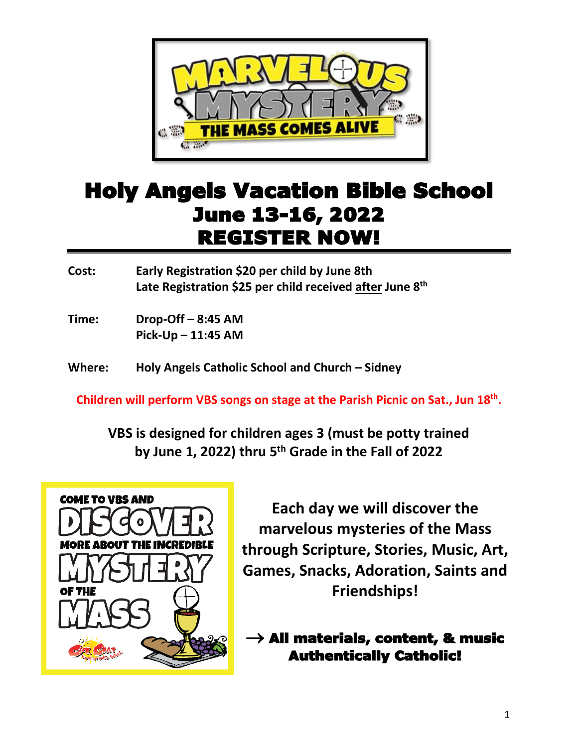

## Holy Angels Vacation Bible School June 13-16, 2022 REGISTER NOW!

**Cost: Early Registration \$20 per child by June 8th Late Registration \$25 per child received after June 8 th**

**Time: Drop-Off – 8:45 AM Pick-Up – 11:45 AM**

**Where: Holy Angels Catholic School and Church – Sidney**

**Children will perform VBS songs on stage at the Parish Picnic on Sat., Jun 18th .**

**VBS is designed for children ages 3 (must be potty trained by June 1, 2022) thru 5 th Grade in the Fall of 2022**



**Each day we will discover the marvelous mysteries of the Mass through Scripture, Stories, Music, Art, Games, Snacks, Adoration, Saints and Friendships!**

 $\rightarrow$  All materials, content, & music Authentically Catholic!